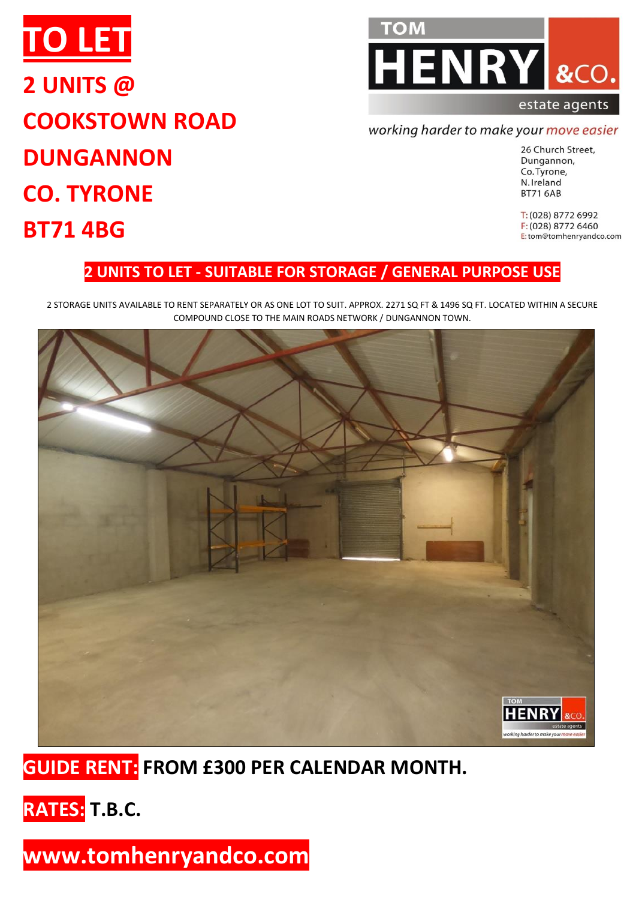



### working harder to make your move easier

26 Church Street, Dungannon, Co. Tyrone, N. Ireland **BT71 6AB** 

T: (028) 8772 6992 F: (028) 8772 6460 E:tom@tomhenryandco.com

### **2 UNITS TO LET - SUITABLE FOR STORAGE / GENERAL PURPOSE USE**

2 STORAGE UNITS AVAILABLE TO RENT SEPARATELY OR AS ONE LOT TO SUIT. APPROX. 2271 SQ FT & 1496 SQ FT. LOCATED WITHIN A SECURE COMPOUND CLOSE TO THE MAIN ROADS NETWORK / DUNGANNON TOWN.



## **GUIDE RENT: FROM £300 PER CALENDAR MONTH.**

**RATES: T.B.C.**

**www.tomhenryandco.com**